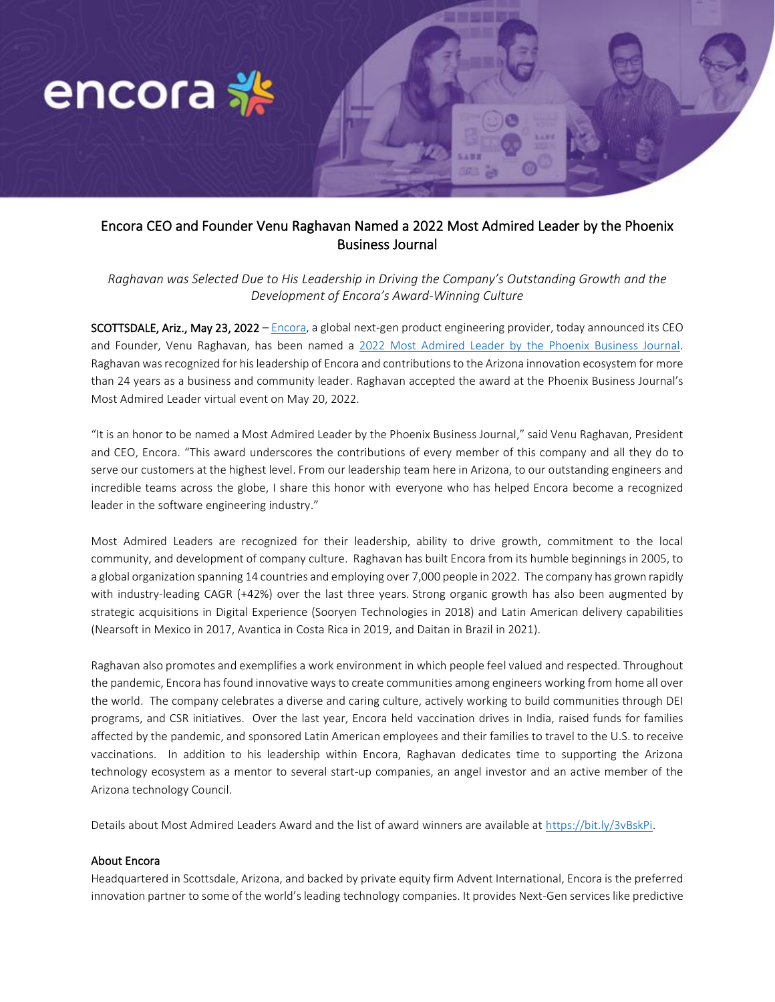

## Encora CEO and Founder Venu Raghavan Named a 2022 Most Admired Leader by the Phoenix Business Journal

*Raghavan was Selected Due to His Leadership in Driving the Company's Outstanding Growth and the Development of Encora's Award-Winning Culture* 

SCOTTSDALE, Ariz., May 23, 2022 – Encora, a global next-gen product engineering provider, today announced its CEO and Founder, Venu Raghavan, has been named a 2022 Most Admired Leader by the Phoenix Business Journal. Raghavan was recognized for hisleadership of Encora and contributions to the Arizona innovation ecosystem for more than 24 years as a business and community leader. Raghavan accepted the award at the Phoenix Business Journal's Most Admired Leader virtual event on May 20, 2022.

"It is an honor to be named a Most Admired Leader by the Phoenix Business Journal," said Venu Raghavan, President and CEO, Encora. "This award underscores the contributions of every member of this company and all they do to serve our customers at the highest level. From our leadership team here in Arizona, to our outstanding engineers and incredible teams across the globe, I share this honor with everyone who has helped Encora become a recognized leader in the software engineering industry."

Most Admired Leaders are recognized for their leadership, ability to drive growth, commitment to the local community, and development of company culture. Raghavan has built Encora from its humble beginnings in 2005, to a global organization spanning 14 countries and employing over 7,000 people in 2022. The company has grown rapidly with industry-leading CAGR (+42%) over the last three years. Strong organic growth has also been augmented by strategic acquisitions in Digital Experience (Sooryen Technologies in 2018) and Latin American delivery capabilities (Nearsoft in Mexico in 2017, Avantica in Costa Rica in 2019, and Daitan in Brazil in 2021).

Raghavan also promotes and exemplifies a work environment in which people feel valued and respected. Throughout the pandemic, Encora has found innovative ways to create communities among engineers working from home all over the world. The company celebrates a diverse and caring culture, actively working to build communities through DEI programs, and CSR initiatives. Over the last year, Encora held vaccination drives in India, raised funds for families affected by the pandemic, and sponsored Latin American employees and their families to travel to the U.S. to receive vaccinations. In addition to his leadership within Encora, Raghavan dedicates time to supporting the Arizona technology ecosystem as a mentor to several start-up companies, an angel investor and an active member of the Arizona technology Council.

Details about Most Admired Leaders Award and the list of award winners are available at https://bit.ly/3vBskPi.

## About Encora

Headquartered in Scottsdale, Arizona, and backed by private equity firm Advent International, Encora is the preferred innovation partner to some of the world's leading technology companies. It provides Next-Gen services like predictive